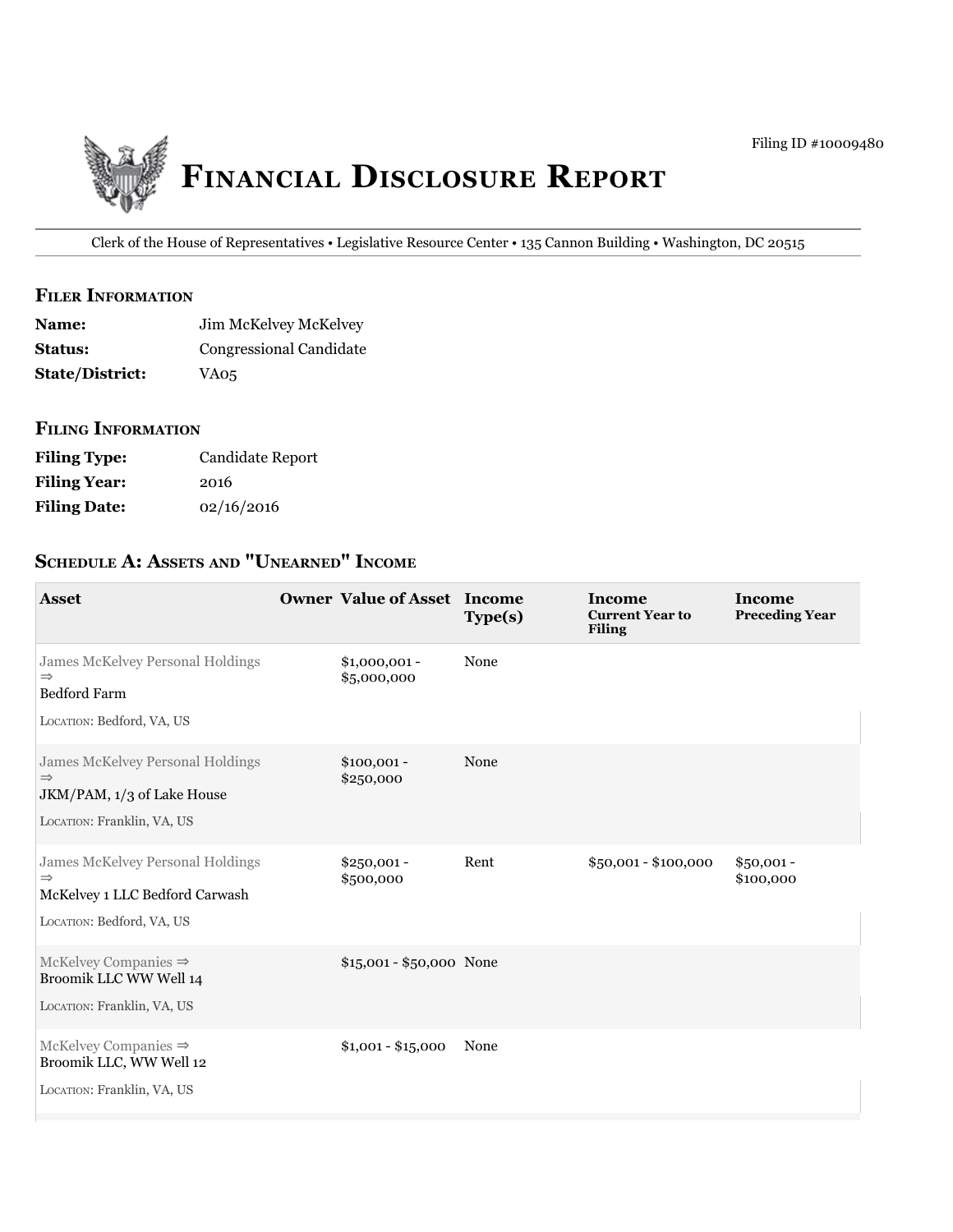

Clerk of the House of Representatives • Legislative Resource Center • 135 Cannon Building • Washington, DC 20515

## **filer information**

| <b>Name:</b>           | Jim McKelvey McKelvey   |
|------------------------|-------------------------|
| <b>Status:</b>         | Congressional Candidate |
| <b>State/District:</b> | VA05                    |

## **filing information**

| <b>Filing Type:</b> | Candidate Report |
|---------------------|------------------|
| <b>Filing Year:</b> | 2016             |
| <b>Filing Date:</b> | 02/16/2016       |

# **ScheDule a: aSSetS anD "unearneD" income**

| <b>Asset</b>                                                                                                     | <b>Owner Value of Asset Income</b> | Type(s) | <b>Income</b><br><b>Current Year to</b><br><b>Filing</b> | <b>Income</b><br><b>Preceding Year</b> |
|------------------------------------------------------------------------------------------------------------------|------------------------------------|---------|----------------------------------------------------------|----------------------------------------|
| James McKelvey Personal Holdings<br>$\Rightarrow$<br><b>Bedford Farm</b><br>LOCATION: Bedford, VA, US            | $$1,000,001 -$<br>\$5,000,000      | None    |                                                          |                                        |
| James McKelvey Personal Holdings<br>$\Rightarrow$<br>JKM/PAM, 1/3 of Lake House<br>LOCATION: Franklin, VA, US    | $$100,001 -$<br>\$250,000          | None    |                                                          |                                        |
| James McKelvey Personal Holdings<br>$\Rightarrow$<br>McKelvey 1 LLC Bedford Carwash<br>LOCATION: Bedford, VA, US | $$250,001 -$<br>\$500,000          | Rent    | \$50,001 - \$100,000                                     | $$50,001 -$<br>\$100,000               |
| McKelvey Companies $\Rightarrow$<br>Broomik LLC WW Well 14<br>LOCATION: Franklin, VA, US                         | \$15,001 - \$50,000 None           |         |                                                          |                                        |
| McKelvey Companies $\Rightarrow$<br>Broomik LLC, WW Well 12<br>LOCATION: Franklin, VA, US                        | $$1,001 - $15,000$                 | None    |                                                          |                                        |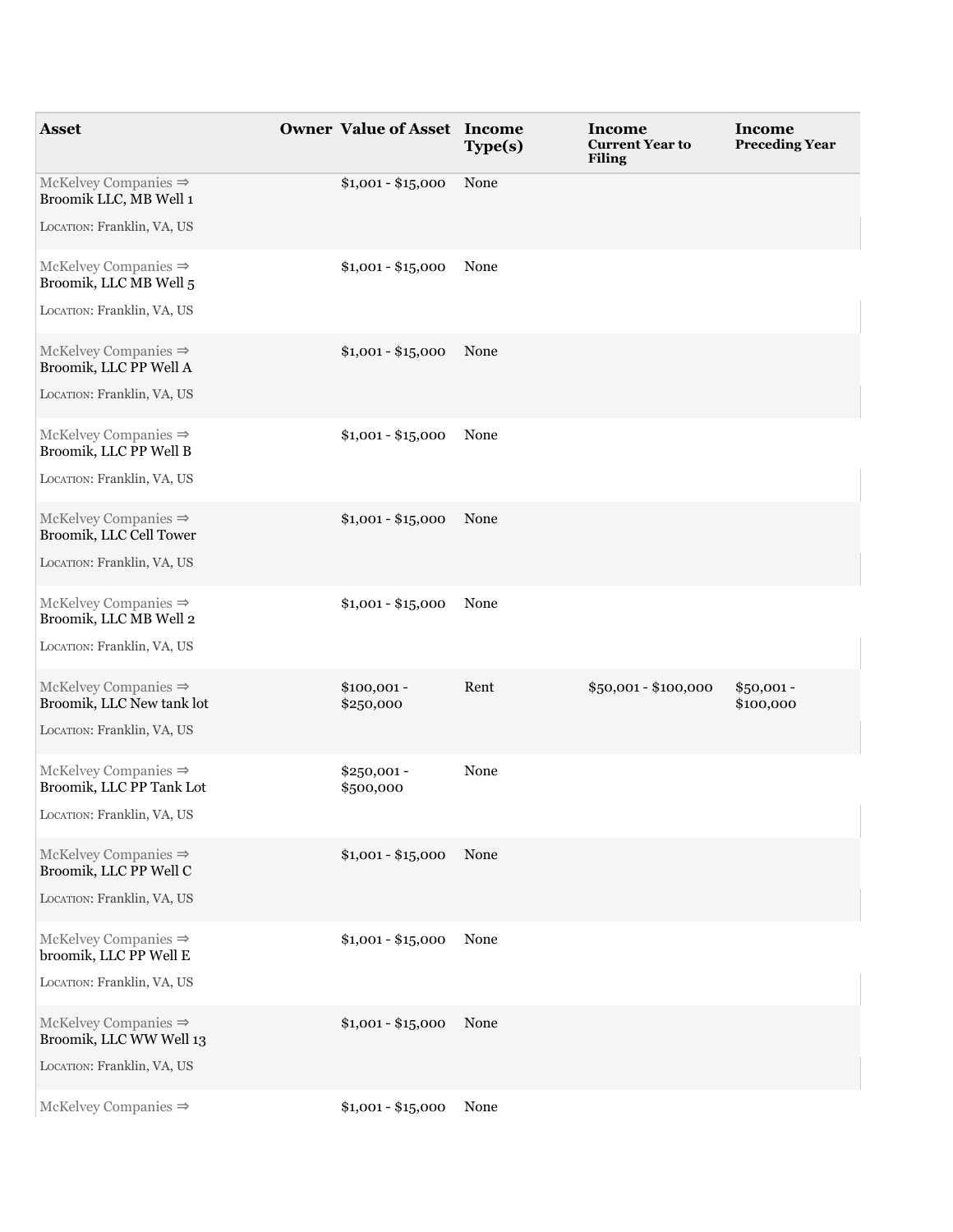| <b>Asset</b>                                                                                 | <b>Owner Value of Asset Income</b> | Type(s) | Income<br><b>Current Year to</b><br><b>Filing</b> | Income<br><b>Preceding Year</b> |
|----------------------------------------------------------------------------------------------|------------------------------------|---------|---------------------------------------------------|---------------------------------|
| McKelvey Companies $\Rightarrow$<br>Broomik LLC, MB Well 1<br>LOCATION: Franklin, VA, US     | $$1,001 - $15,000$                 | None    |                                                   |                                 |
| McKelvey Companies $\Rightarrow$<br>Broomik, LLC MB Well 5<br>LOCATION: Franklin, VA, US     | $$1,001 - $15,000$                 | None    |                                                   |                                 |
| McKelvey Companies $\Rightarrow$<br>Broomik, LLC PP Well A<br>LOCATION: Franklin, VA, US     | $$1,001 - $15,000$                 | None    |                                                   |                                 |
| McKelvey Companies $\Rightarrow$<br>Broomik, LLC PP Well B<br>LOCATION: Franklin, VA, US     | $$1,001 - $15,000$                 | None    |                                                   |                                 |
| McKelvey Companies $\Rightarrow$<br>Broomik, LLC Cell Tower<br>LOCATION: Franklin, VA, US    | $$1,001 - $15,000$                 | None    |                                                   |                                 |
| McKelvey Companies $\Rightarrow$<br>Broomik, LLC MB Well 2<br>LOCATION: Franklin, VA, US     | $$1,001 - $15,000$                 | None    |                                                   |                                 |
| McKelvey Companies $\Rightarrow$<br>Broomik, LLC New tank lot<br>LOCATION: Franklin, VA, US  | $$100,001 -$<br>\$250,000          | Rent    | $$50,001 - $100,000$                              | $$50,001 -$<br>\$100,000        |
| $McKelvey$ Companies $\Rightarrow$<br>Broomik, LLC PP Tank Lot<br>LOCATION: Franklin, VA, US | $$250,001 -$<br>\$500,000          | None    |                                                   |                                 |
| McKelvey Companies $\Rightarrow$<br>Broomik, LLC PP Well C<br>LOCATION: Franklin, VA, US     | $$1,001 - $15,000$                 | None    |                                                   |                                 |
| $McKelvey$ Companies $\Rightarrow$<br>broomik, LLC PP Well E<br>LOCATION: Franklin, VA, US   | $$1,001 - $15,000$                 | None    |                                                   |                                 |
| McKelvey Companies $\Rightarrow$<br>Broomik, LLC WW Well 13<br>LOCATION: Franklin, VA, US    | $$1,001 - $15,000$                 | None    |                                                   |                                 |
| McKelvey Companies $\Rightarrow$                                                             | $$1,001 - $15,000$                 | None    |                                                   |                                 |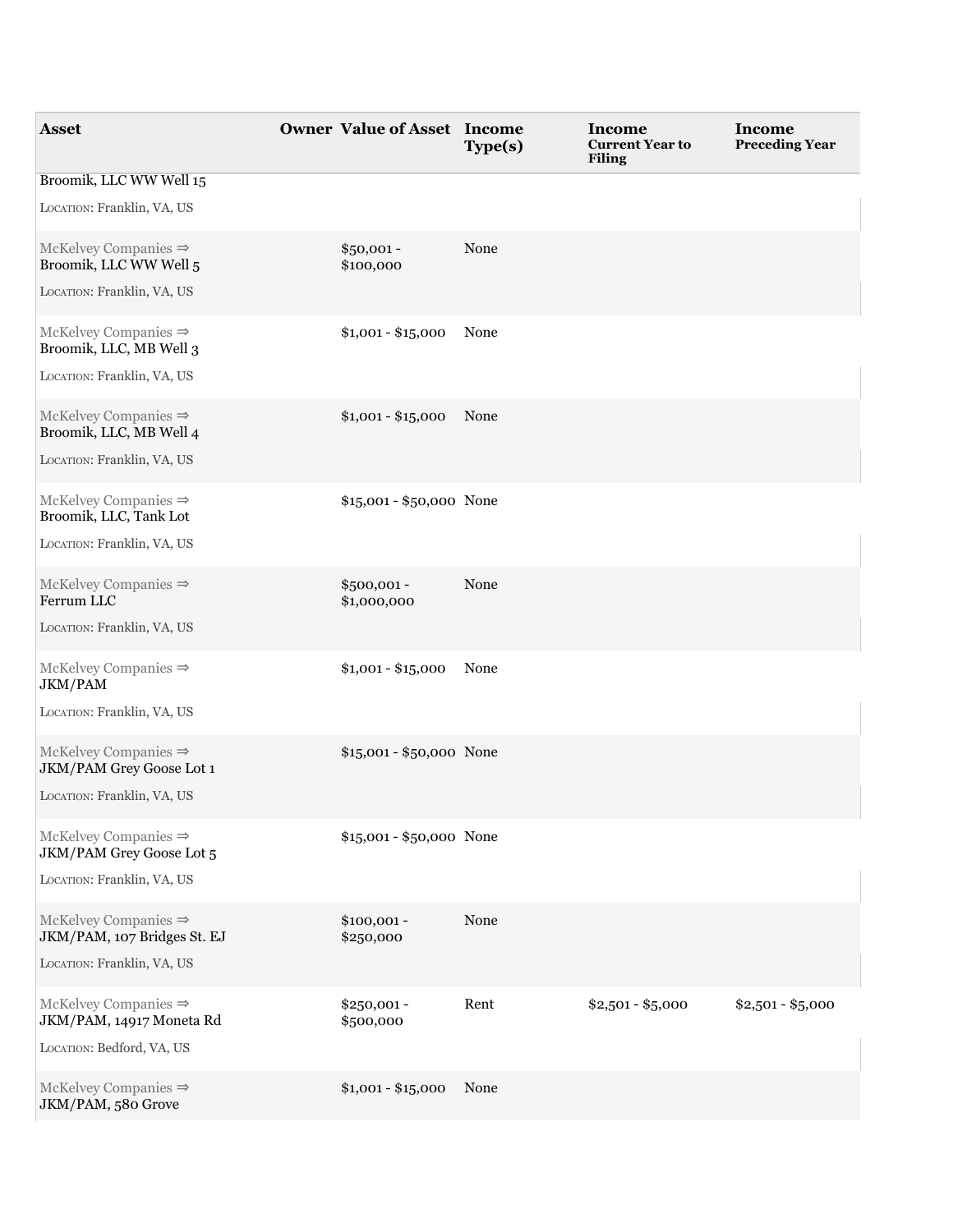| <b>Asset</b>                                                                                      | <b>Owner Value of Asset Income</b> | Type(s) | <b>Income</b><br><b>Current Year to</b><br><b>Filing</b> | Income<br><b>Preceding Year</b> |
|---------------------------------------------------------------------------------------------------|------------------------------------|---------|----------------------------------------------------------|---------------------------------|
| Broomik, LLC WW Well 15<br>LOCATION: Franklin, VA, US                                             |                                    |         |                                                          |                                 |
| McKelvey Companies $\Rightarrow$<br>Broomik, LLC WW Well 5<br>LOCATION: Franklin, VA, US          | $$50,001 -$<br>\$100,000           | None    |                                                          |                                 |
| McKelvey Companies $\Rightarrow$<br>Broomik, LLC, MB Well 3<br>LOCATION: Franklin, VA, US         | $$1,001 - $15,000$                 | None    |                                                          |                                 |
| McKelvey Companies $\Rightarrow$<br>Broomik, LLC, MB Well 4<br>LOCATION: Franklin, VA, US         | $$1,001 - $15,000$                 | None    |                                                          |                                 |
| McKelvey Companies $\Rightarrow$<br>Broomik, LLC, Tank Lot<br>LOCATION: Franklin, VA, US          | \$15,001 - \$50,000 None           |         |                                                          |                                 |
| McKelvey Companies $\Rightarrow$<br>Ferrum LLC<br>LOCATION: Franklin, VA, US                      | $$500,001 -$<br>\$1,000,000        | None    |                                                          |                                 |
| McKelvey Companies $\Rightarrow$<br>JKM/PAM<br>LOCATION: Franklin, VA, US                         | $$1,001 - $15,000$                 | None    |                                                          |                                 |
| $McKelvey Companies \Rightarrow$<br><b>JKM/PAM Grey Goose Lot 1</b><br>LOCATION: Franklin, VA, US | \$15,001 - \$50,000 None           |         |                                                          |                                 |
| $McKelvey Companies \Rightarrow$<br><b>JKM/PAM Grey Goose Lot 5</b><br>LOCATION: Franklin, VA, US | \$15,001 - \$50,000 None           |         |                                                          |                                 |
| McKelvey Companies $\Rightarrow$<br>JKM/PAM, 107 Bridges St. EJ<br>LOCATION: Franklin, VA, US     | $$100,001 -$<br>\$250,000          | None    |                                                          |                                 |
| $McKekey$ Companies $\Rightarrow$<br>JKM/PAM, 14917 Moneta Rd<br>LOCATION: Bedford, VA, US        | $$250,001 -$<br>\$500,000          | Rent    | $$2,501 - $5,000$                                        | $$2,501 - $5,000$               |
| McKelvey Companies $\Rightarrow$<br>JKM/PAM, 580 Grove                                            | $$1,001 - $15,000$                 | None    |                                                          |                                 |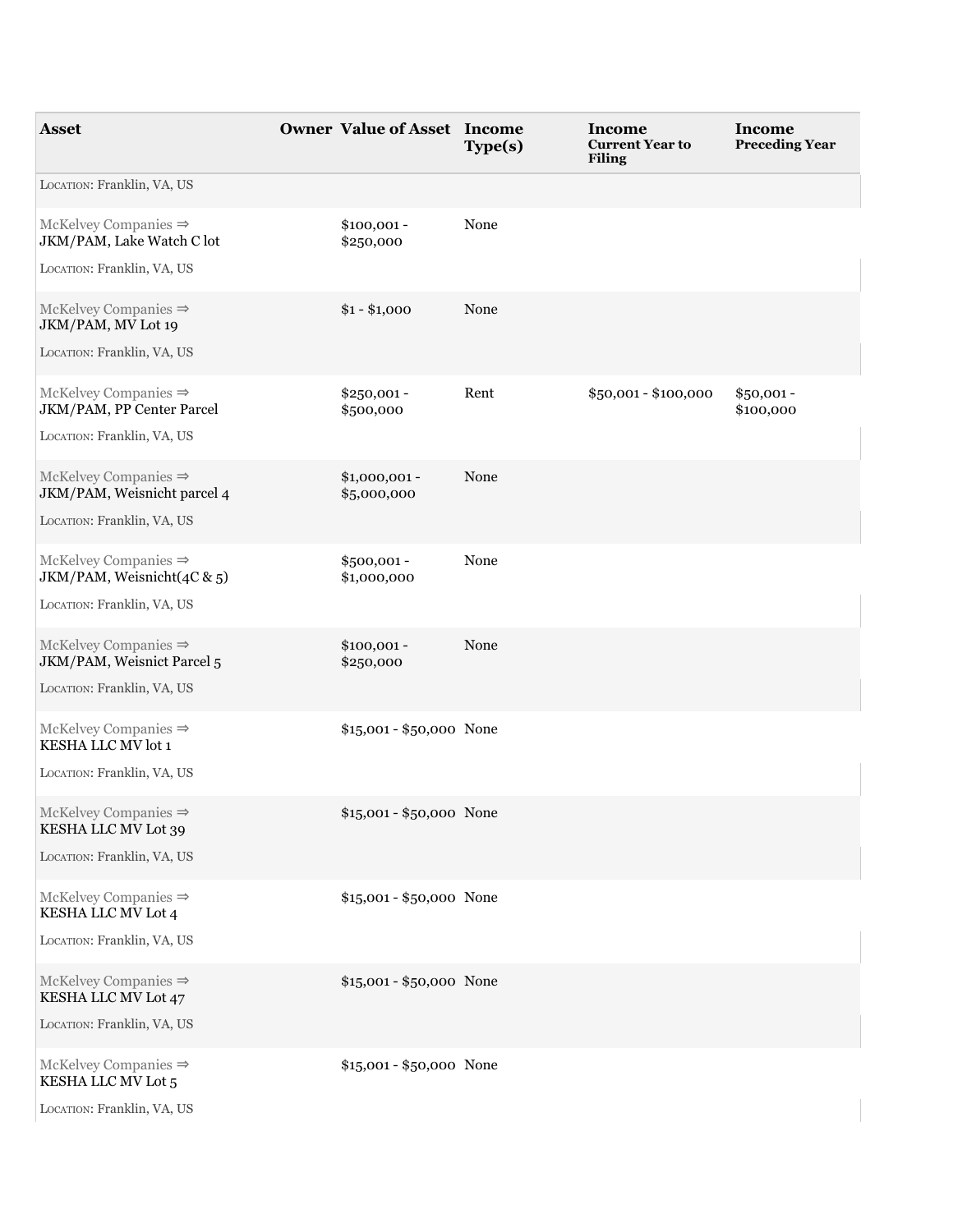| <b>Asset</b>                                                                                  | <b>Owner Value of Asset Income</b> | Type(s) | Income<br><b>Current Year to</b><br><b>Filing</b> | <b>Income</b><br><b>Preceding Year</b> |
|-----------------------------------------------------------------------------------------------|------------------------------------|---------|---------------------------------------------------|----------------------------------------|
| LOCATION: Franklin, VA, US                                                                    |                                    |         |                                                   |                                        |
| McKelvey Companies $\Rightarrow$<br>JKM/PAM, Lake Watch C lot                                 | $$100,001 -$<br>\$250,000          | None    |                                                   |                                        |
| LOCATION: Franklin, VA, US                                                                    |                                    |         |                                                   |                                        |
| $McKelvey$ Companies $\Rightarrow$<br>JKM/PAM, MV Lot 19<br>LOCATION: Franklin, VA, US        | $$1 - $1,000$                      | None    |                                                   |                                        |
| McKelvey Companies $\Rightarrow$<br>JKM/PAM, PP Center Parcel<br>LOCATION: Franklin, VA, US   | $$250,001 -$<br>\$500,000          | Rent    | \$50,001 - \$100,000                              | $$50,001 -$<br>\$100,000               |
| McKelvey Companies $\Rightarrow$<br>JKM/PAM, Weisnicht parcel 4<br>LOCATION: Franklin, VA, US | $$1,000,001 -$<br>\$5,000,000      | None    |                                                   |                                        |
| McKelvey Companies $\Rightarrow$<br>JKM/PAM, Weisnicht(4C & 5)<br>LOCATION: Franklin, VA, US  | \$500,001 -<br>\$1,000,000         | None    |                                                   |                                        |
| McKelvey Companies $\Rightarrow$<br>JKM/PAM, Weisnict Parcel 5<br>LOCATION: Franklin, VA, US  | $$100,001 -$<br>\$250,000          | None    |                                                   |                                        |
| McKelvey Companies $\Rightarrow$<br>KESHA LLC MV lot 1<br>LOCATION: Franklin, VA, US          | \$15,001 - \$50,000 None           |         |                                                   |                                        |
| McKelvey Companies $\Rightarrow$<br>KESHA LLC MV Lot 39<br>LOCATION: Franklin, VA, US         | \$15,001 - \$50,000 None           |         |                                                   |                                        |
| McKelvey Companies $\Rightarrow$<br>KESHA LLC MV Lot 4<br>LOCATION: Franklin, VA, US          | \$15,001 - \$50,000 None           |         |                                                   |                                        |
| McKelvey Companies $\Rightarrow$<br>KESHA LLC MV Lot 47<br>LOCATION: Franklin, VA, US         | \$15,001 - \$50,000 None           |         |                                                   |                                        |
| McKelvey Companies $\Rightarrow$<br>KESHA LLC MV Lot 5<br>LOCATION: Franklin, VA, US          | \$15,001 - \$50,000 None           |         |                                                   |                                        |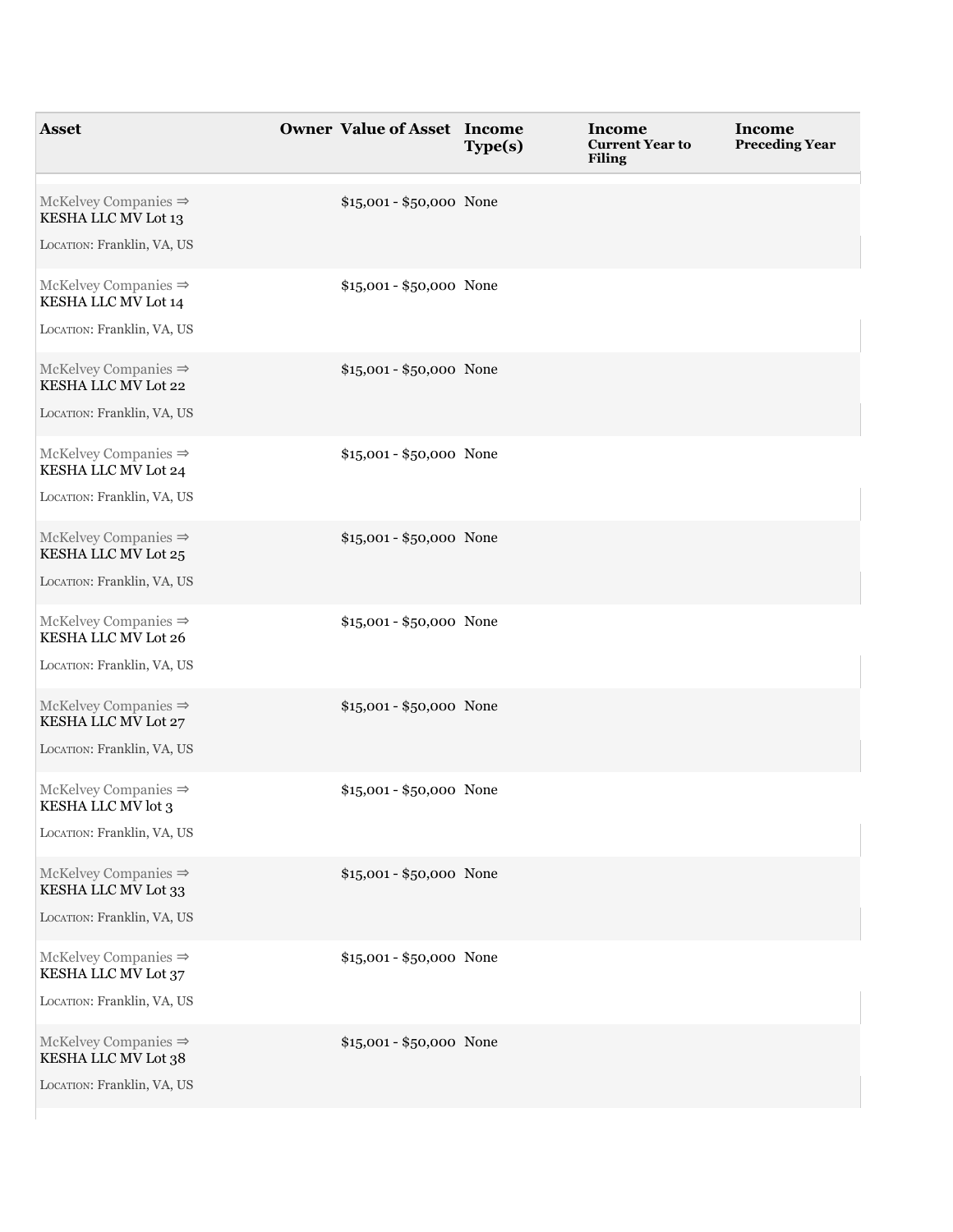| <b>Asset</b>                                                                            | <b>Owner Value of Asset Income</b> | Type(s) | Income<br><b>Current Year to</b><br><b>Filing</b> | <b>Income</b><br><b>Preceding Year</b> |
|-----------------------------------------------------------------------------------------|------------------------------------|---------|---------------------------------------------------|----------------------------------------|
| McKelvey Companies $\Rightarrow$<br>KESHA LLC MV Lot 13                                 | \$15,001 - \$50,000 None           |         |                                                   |                                        |
| LOCATION: Franklin, VA, US                                                              |                                    |         |                                                   |                                        |
| McKelvey Companies $\Rightarrow$<br>KESHA LLC MV Lot 14<br>LOCATION: Franklin, VA, US   | \$15,001 - \$50,000 None           |         |                                                   |                                        |
| McKelvey Companies $\Rightarrow$<br>KESHA LLC MV Lot 22<br>LOCATION: Franklin, VA, US   | \$15,001 - \$50,000 None           |         |                                                   |                                        |
| McKelvey Companies $\Rightarrow$<br>KESHA LLC MV Lot 24<br>LOCATION: Franklin, VA, US   | \$15,001 - \$50,000 None           |         |                                                   |                                        |
| $McKelvey$ Companies $\Rightarrow$<br>KESHA LLC MV Lot 25<br>LOCATION: Franklin, VA, US | \$15,001 - \$50,000 None           |         |                                                   |                                        |
| McKelvey Companies $\Rightarrow$<br>KESHA LLC MV Lot 26<br>LOCATION: Franklin, VA, US   | \$15,001 - \$50,000 None           |         |                                                   |                                        |
| McKelvey Companies $\Rightarrow$<br>KESHA LLC MV Lot 27<br>LOCATION: Franklin, VA, US   | \$15,001 - \$50,000 None           |         |                                                   |                                        |
| McKelvey Companies $\Rightarrow$<br>KESHA LLC MV lot 3<br>LOCATION: Franklin, VA, US    | \$15,001 - \$50,000 None           |         |                                                   |                                        |
| McKelvey Companies $\Rightarrow$<br>KESHA LLC MV Lot 33<br>LOCATION: Franklin, VA, US   | \$15,001 - \$50,000 None           |         |                                                   |                                        |
| McKelvey Companies $\Rightarrow$<br>KESHA LLC MV Lot 37<br>LOCATION: Franklin, VA, US   | \$15,001 - \$50,000 None           |         |                                                   |                                        |
| McKelvey Companies $\Rightarrow$<br>KESHA LLC MV Lot 38<br>LOCATION: Franklin, VA, US   | \$15,001 - \$50,000 None           |         |                                                   |                                        |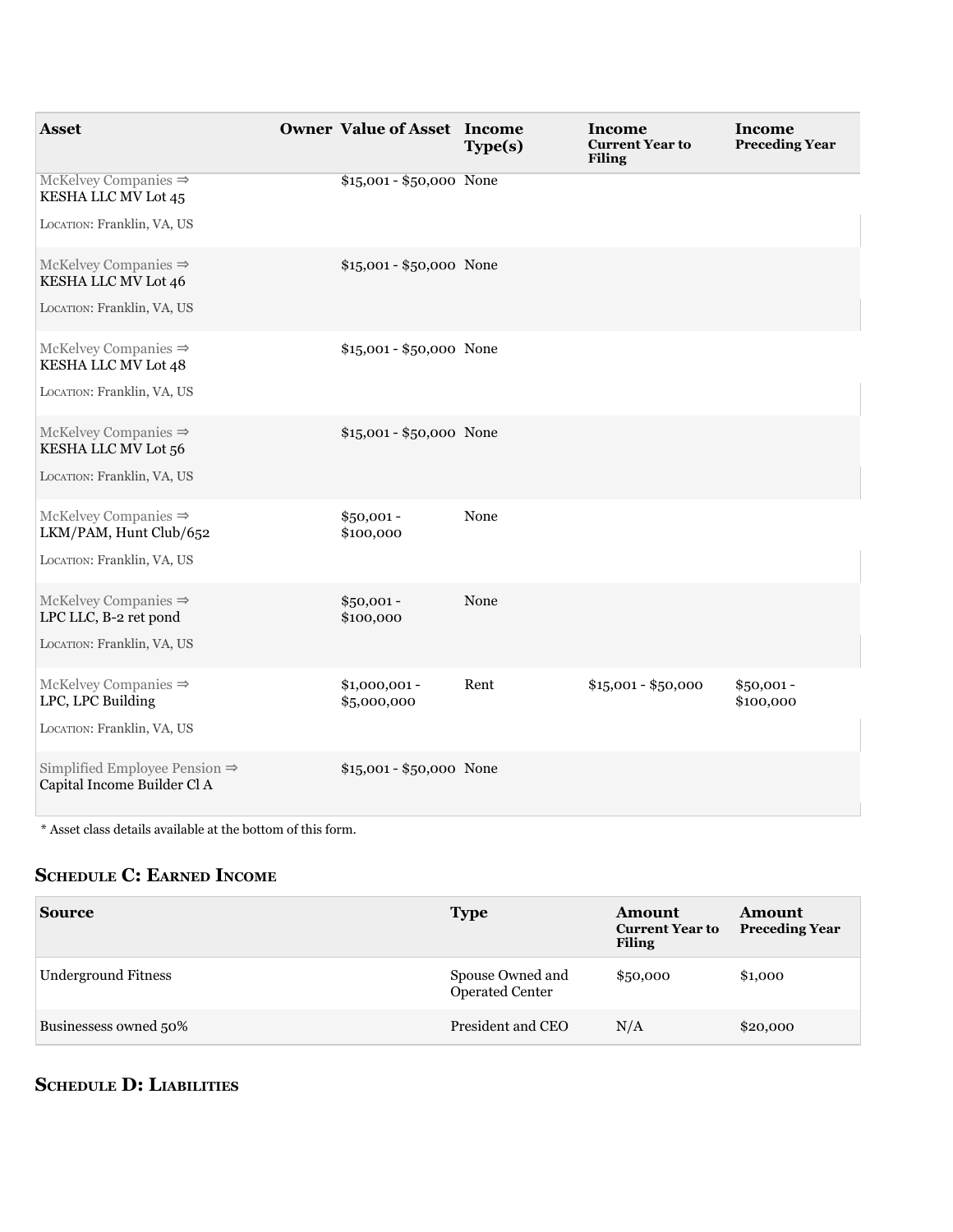| <b>Asset</b>                                                             | <b>Owner Value of Asset Income</b> | Type(s) | Income<br><b>Current Year to</b><br><b>Filing</b> | Income<br><b>Preceding Year</b> |
|--------------------------------------------------------------------------|------------------------------------|---------|---------------------------------------------------|---------------------------------|
| McKelvey Companies $\Rightarrow$<br>KESHA LLC MV Lot 45                  | \$15,001 - \$50,000 None           |         |                                                   |                                 |
| LOCATION: Franklin, VA, US                                               |                                    |         |                                                   |                                 |
| McKelvey Companies $\Rightarrow$<br>KESHA LLC MV Lot 46                  | \$15,001 - \$50,000 None           |         |                                                   |                                 |
| LOCATION: Franklin, VA, US                                               |                                    |         |                                                   |                                 |
| McKelvey Companies $\Rightarrow$<br>KESHA LLC MV Lot 48                  | $$15,001 - $50,000$ None           |         |                                                   |                                 |
| LOCATION: Franklin, VA, US                                               |                                    |         |                                                   |                                 |
| McKelvey Companies $\Rightarrow$<br>KESHA LLC MV Lot 56                  | \$15,001 - \$50,000 None           |         |                                                   |                                 |
| LOCATION: Franklin, VA, US                                               |                                    |         |                                                   |                                 |
| McKelvey Companies $\Rightarrow$<br>LKM/PAM, Hunt Club/652               | $$50,001 -$<br>\$100,000           | None    |                                                   |                                 |
| LOCATION: Franklin, VA, US                                               |                                    |         |                                                   |                                 |
| $McKelvey Companies \Rightarrow$<br>LPC LLC, B-2 ret pond                | $$50,001 -$<br>\$100,000           | None    |                                                   |                                 |
| LOCATION: Franklin, VA, US                                               |                                    |         |                                                   |                                 |
| $McKelvey$ Companies $\Rightarrow$<br>LPC, LPC Building                  | $$1,000,001 -$<br>\$5,000,000      | Rent    | $$15,001 - $50,000$                               | $$50,001 -$<br>\$100,000        |
| LOCATION: Franklin, VA, US                                               |                                    |         |                                                   |                                 |
| Simplified Employee Pension $\Rightarrow$<br>Capital Income Builder Cl A | $$15,001 - $50,000$ None           |         |                                                   |                                 |

 $^\ast$  Asset class details available at the bottom of this form.

## **ScheDule c: earneD income**

| <b>Source</b>              | <b>Type</b>                         | <b>Amount</b><br><b>Current Year to</b><br><b>Filing</b> | Amount<br><b>Preceding Year</b> |
|----------------------------|-------------------------------------|----------------------------------------------------------|---------------------------------|
| <b>Underground Fitness</b> | Spouse Owned and<br>Operated Center | \$50,000                                                 | \$1,000                         |
| Businessess owned 50%      | President and CEO                   | N/A                                                      | \$20,000                        |

# **ScheDule D: liaBilitieS**